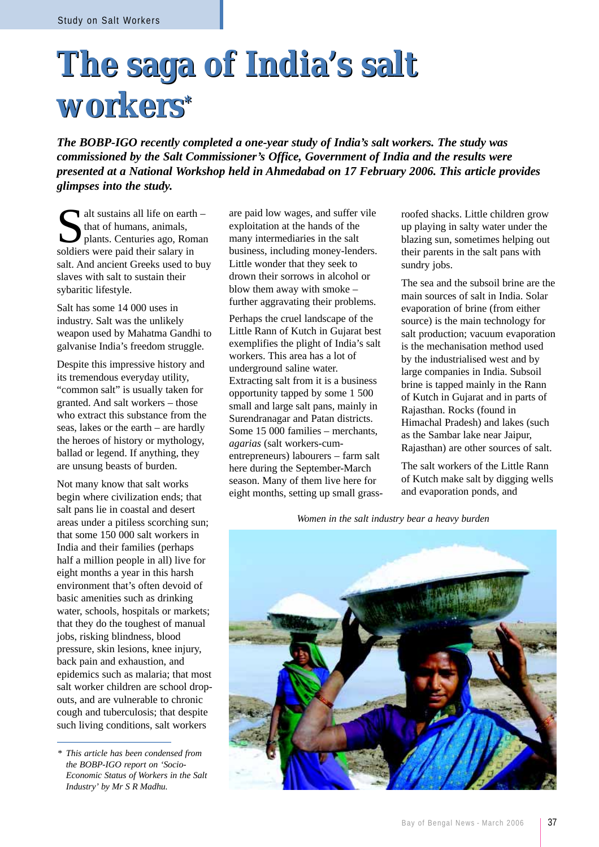## **The saga of India's salt The saga of India's salt workers\* workers\***

*The BOBP-IGO recently completed a one-year study of India's salt workers. The study was commissioned by the Salt Commissioner's Office, Government of India and the results were presented at a National Workshop held in Ahmedabad on 17 February 2006. This article provides glimpses into the study.*

 $\blacksquare$  alt sustains all life on earth – that of humans, animals, plants. Centuries ago, Roman soldiers were paid their salary in salt. And ancient Greeks used to buy slaves with salt to sustain their sybaritic lifestyle.

Salt has some 14 000 uses in industry. Salt was the unlikely weapon used by Mahatma Gandhi to galvanise India's freedom struggle.

Despite this impressive history and its tremendous everyday utility, "common salt" is usually taken for granted. And salt workers – those who extract this substance from the seas, lakes or the earth – are hardly the heroes of history or mythology, ballad or legend. If anything, they are unsung beasts of burden.

Not many know that salt works begin where civilization ends; that salt pans lie in coastal and desert areas under a pitiless scorching sun; that some 150 000 salt workers in India and their families (perhaps half a million people in all) live for eight months a year in this harsh environment that's often devoid of basic amenities such as drinking water, schools, hospitals or markets; that they do the toughest of manual jobs, risking blindness, blood pressure, skin lesions, knee injury, back pain and exhaustion, and epidemics such as malaria; that most salt worker children are school dropouts, and are vulnerable to chronic cough and tuberculosis; that despite such living conditions, salt workers

are paid low wages, and suffer vile exploitation at the hands of the many intermediaries in the salt business, including money-lenders. Little wonder that they seek to drown their sorrows in alcohol or blow them away with smoke – further aggravating their problems.

Perhaps the cruel landscape of the Little Rann of Kutch in Gujarat best exemplifies the plight of India's salt workers. This area has a lot of underground saline water. Extracting salt from it is a business opportunity tapped by some 1 500 small and large salt pans, mainly in Surendranagar and Patan districts. Some 15 000 families – merchants, *agarias* (salt workers-cumentrepreneurs) labourers – farm salt here during the September-March season. Many of them live here for eight months, setting up small grassroofed shacks. Little children grow up playing in salty water under the blazing sun, sometimes helping out their parents in the salt pans with sundry jobs.

The sea and the subsoil brine are the main sources of salt in India. Solar evaporation of brine (from either source) is the main technology for salt production; vacuum evaporation is the mechanisation method used by the industrialised west and by large companies in India. Subsoil brine is tapped mainly in the Rann of Kutch in Gujarat and in parts of Rajasthan. Rocks (found in Himachal Pradesh) and lakes (such as the Sambar lake near Jaipur, Rajasthan) are other sources of salt.

The salt workers of the Little Rann of Kutch make salt by digging wells and evaporation ponds, and

*Women in the salt industry bear a heavy burden*



*<sup>\*</sup> This article has been condensed from the BOBP-IGO report on 'Socio-Economic Status of Workers in the Salt Industry' by Mr S R Madhu.*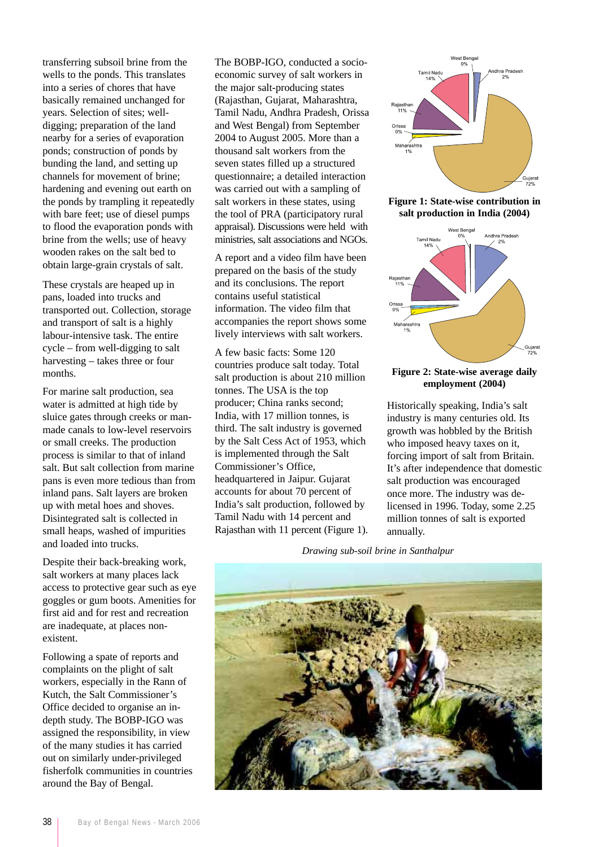transferring subsoil brine from the wells to the ponds. This translates into a series of chores that have basically remained unchanged for years. Selection of sites; welldigging; preparation of the land nearby for a series of evaporation ponds; construction of ponds by bunding the land, and setting up channels for movement of brine; hardening and evening out earth on the ponds by trampling it repeatedly with bare feet; use of diesel pumps to flood the evaporation ponds with brine from the wells; use of heavy wooden rakes on the salt bed to obtain large-grain crystals of salt.

These crystals are heaped up in pans, loaded into trucks and transported out. Collection, storage and transport of salt is a highly labour-intensive task. The entire cycle – from well-digging to salt harvesting – takes three or four months.

For marine salt production, sea water is admitted at high tide by sluice gates through creeks or manmade canals to low-level reservoirs or small creeks. The production process is similar to that of inland salt. But salt collection from marine pans is even more tedious than from inland pans. Salt layers are broken up with metal hoes and shoves. Disintegrated salt is collected in small heaps, washed of impurities and loaded into trucks.

Despite their back-breaking work, salt workers at many places lack access to protective gear such as eye goggles or gum boots. Amenities for first aid and for rest and recreation are inadequate, at places nonexistent.

Following a spate of reports and complaints on the plight of salt workers, especially in the Rann of Kutch, the Salt Commissioner's Office decided to organise an indepth study. The BOBP-IGO was assigned the responsibility, in view of the many studies it has carried out on similarly under-privileged fisherfolk communities in countries around the Bay of Bengal.

The BOBP-IGO, conducted a socioeconomic survey of salt workers in the major salt-producing states (Rajasthan, Gujarat, Maharashtra, Tamil Nadu, Andhra Pradesh, Orissa and West Bengal) from September 2004 to August 2005. More than a thousand salt workers from the seven states filled up a structured questionnaire; a detailed interaction was carried out with a sampling of salt workers in these states, using the tool of PRA (participatory rural appraisal). Discussions were held with ministries, salt associations and NGOs.

A report and a video film have been prepared on the basis of the study and its conclusions. The report contains useful statistical information. The video film that accompanies the report shows some lively interviews with salt workers.

A few basic facts: Some 120 countries produce salt today. Total salt production is about 210 million tonnes. The USA is the top producer; China ranks second; India, with 17 million tonnes, is third. The salt industry is governed by the Salt Cess Act of 1953, which is implemented through the Salt Commissioner's Office, headquartered in Jaipur. Gujarat accounts for about 70 percent of India's salt production, followed by Tamil Nadu with 14 percent and Rajasthan with 11 percent (Figure 1).



**Figure 1: State-wise contribution in salt production in India (2004)**



## **Figure 2: State-wise average daily employment (2004)**

Historically speaking, India's salt industry is many centuries old. Its growth was hobbled by the British who imposed heavy taxes on it, forcing import of salt from Britain. It's after independence that domestic salt production was encouraged once more. The industry was delicensed in 1996. Today, some 2.25 million tonnes of salt is exported annually.

*Drawing sub-soil brine in Santhalpur*

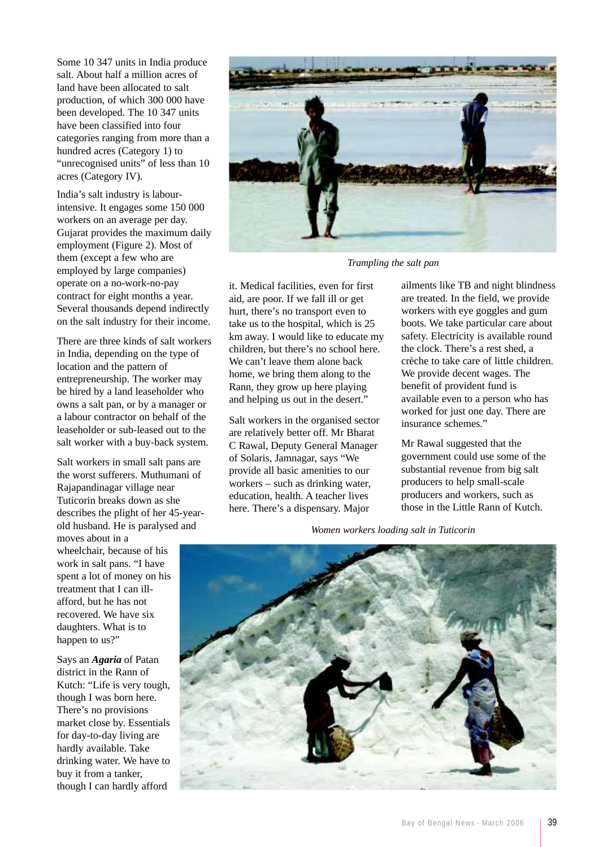Some 10 347 units in India produce salt. About half a million acres of land have been allocated to salt production, of which 300 000 have been developed. The 10 347 units have been classified into four categories ranging from more than a hundred acres (Category 1) to "unrecognised units" of less than 10 acres (Category IV).

India's salt industry is labourintensive. It engages some 150 000 workers on an average per day. Gujarat provides the maximum daily employment (Figure 2). Most of them (except a few who are employed by large companies) operate on a no-work-no-pay contract for eight months a year. Several thousands depend indirectly on the salt industry for their income.

There are three kinds of salt workers in India, depending on the type of location and the pattern of entrepreneurship. The worker may be hired by a land leaseholder who owns a salt pan, or by a manager or a labour contractor on behalf of the leaseholder or sub-leased out to the salt worker with a buy-back system.

Salt workers in small salt pans are the worst sufferers. Muthumani of Rajapandinagar village near Tuticorin breaks down as she describes the plight of her 45-yearold husband. He is paralysed and

moves about in a wheelchair, because of his work in salt pans. "I have spent a lot of money on his treatment that I can illafford, but he has not recovered. We have six daughters. What is to happen to us?"

Says an *Agaria* of Patan district in the Rann of Kutch: "Life is very tough, though I was born here. There's no provisions market close by. Essentials for day-to-day living are hardly available. Take drinking water. We have to buy it from a tanker, though I can hardly afford



*Trampling the salt pan*

it. Medical facilities, even for first aid, are poor. If we fall ill or get hurt, there's no transport even to take us to the hospital, which is 25 km away. I would like to educate my children, but there's no school here. We can't leave them alone back home, we bring them along to the Rann, they grow up here playing and helping us out in the desert."

Salt workers in the organised sector are relatively better off. Mr Bharat C Rawal, Deputy General Manager of Solaris, Jamnagar, says "We provide all basic amenities to our workers – such as drinking water, education, health. A teacher lives here. There's a dispensary. Major

ailments like TB and night blindness are treated. In the field, we provide workers with eye goggles and gum boots. We take particular care about safety. Electricity is available round the clock. There's a rest shed, a crèche to take care of little children. We provide decent wages. The benefit of provident fund is available even to a person who has worked for just one day. There are insurance schemes."

Mr Rawal suggested that the government could use some of the substantial revenue from big salt producers to help small-scale producers and workers, such as those in the Little Rann of Kutch.

*Women workers loading salt in Tuticorin*